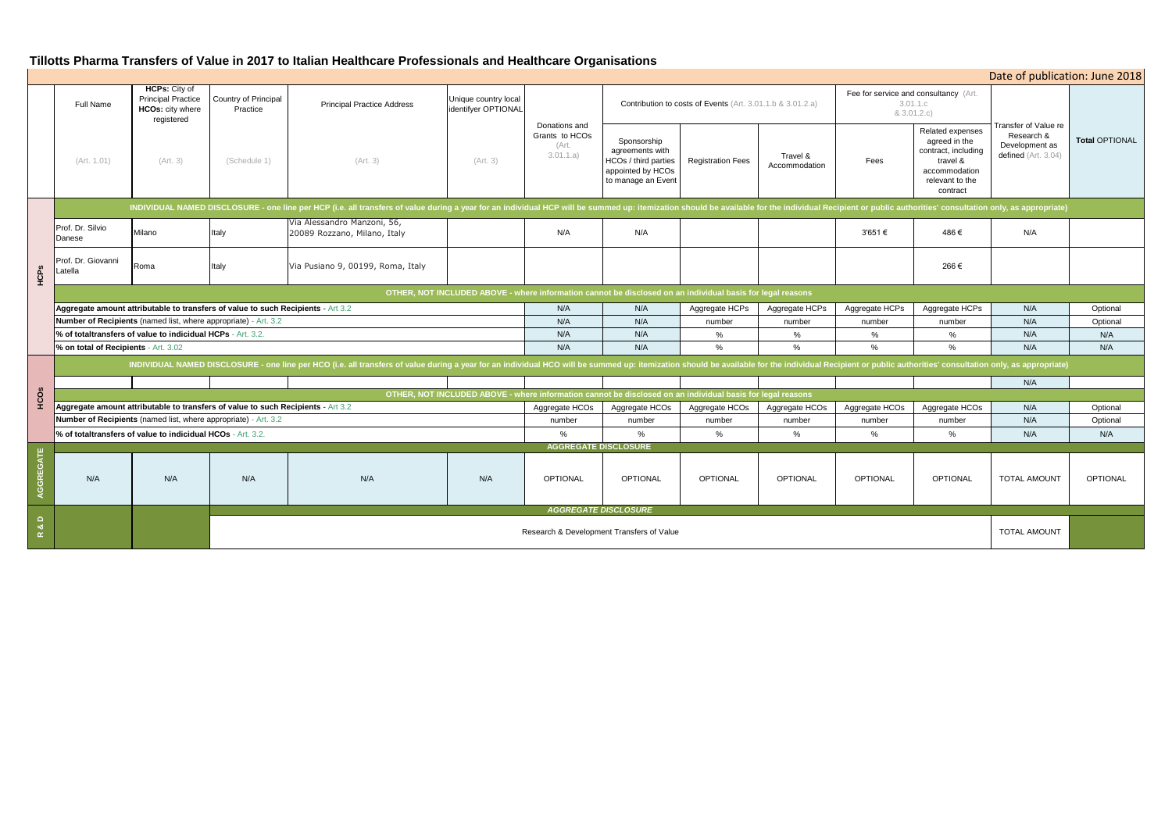|                       |                                                                                                                                                                                                                                |                                                                                                                                                                                                                                |                                                  | Tillotts Pharma Transfers of Value in 2017 to Italian Healthcare Professionals and Healthcare Organisations |                                                         |                                                       |                                                                                                            |                          |                           |                                                                  |                                                                                                                      |                                                                               |                     |
|-----------------------|--------------------------------------------------------------------------------------------------------------------------------------------------------------------------------------------------------------------------------|--------------------------------------------------------------------------------------------------------------------------------------------------------------------------------------------------------------------------------|--------------------------------------------------|-------------------------------------------------------------------------------------------------------------|---------------------------------------------------------|-------------------------------------------------------|------------------------------------------------------------------------------------------------------------|--------------------------|---------------------------|------------------------------------------------------------------|----------------------------------------------------------------------------------------------------------------------|-------------------------------------------------------------------------------|---------------------|
|                       |                                                                                                                                                                                                                                |                                                                                                                                                                                                                                |                                                  |                                                                                                             |                                                         |                                                       |                                                                                                            |                          |                           |                                                                  |                                                                                                                      | Date of publication: June 20                                                  |                     |
|                       | <b>Full Name</b>                                                                                                                                                                                                               | <b>HCPs: City of</b><br><b>Principal Practice</b><br><b>HCOs:</b> city where<br>registered<br>(Art. 3)                                                                                                                         | Country of Principal<br>Practice<br>(Schedule 1) | <b>Principal Practice Address</b><br>(Art. 3)                                                               | Unique country local<br>identifyer OPTIONAL<br>(Art. 3) | Donations and<br>Grants to HCOs<br>(Art.<br>3.01.1.a) | Contribution to costs of Events (Art. 3.01.1.b & 3.01.2.a)                                                 |                          |                           | Fee for service and consultancy (Art.<br>3.01.1.c<br>& 3.01.2.c) |                                                                                                                      |                                                                               |                     |
|                       | (Art. 1.01)                                                                                                                                                                                                                    |                                                                                                                                                                                                                                |                                                  |                                                                                                             |                                                         |                                                       | Sponsorship<br>agreements with<br><b>HCOs / third parties</b><br>appointed by HCOs<br>to manage an Event   | <b>Registration Fees</b> | Travel &<br>Accommodation | Fees                                                             | Related expenses<br>agreed in the<br>contract, including<br>travel &<br>accommodation<br>relevant to the<br>contract | Transfer of Value re<br>Research &<br>Development as<br>defined $(Art. 3.04)$ | <b>Total OPTION</b> |
|                       | INDIVIDUAL NAMED DISCLOSURE - one line per HCP (i.e. all transfers of value during a year for an individual HCP will be summed up: itemization should be available for the individual Recipient or public authorities' consult |                                                                                                                                                                                                                                |                                                  |                                                                                                             |                                                         |                                                       |                                                                                                            |                          |                           |                                                                  |                                                                                                                      |                                                                               |                     |
|                       | Prof. Dr. Silvio<br>Danese                                                                                                                                                                                                     | Milano                                                                                                                                                                                                                         | Italy                                            | Via Alessandro Manzoni, 56,<br>20089 Rozzano, Milano, Italy                                                 |                                                         | N/A                                                   | N/A                                                                                                        |                          |                           | 3'651 €                                                          | 486€                                                                                                                 | N/A                                                                           |                     |
| HCPS                  | Prof. Dr. Giovanni<br>atella                                                                                                                                                                                                   | Roma                                                                                                                                                                                                                           | Italy                                            | Via Pusiano 9, 00199, Roma, Italy                                                                           |                                                         |                                                       |                                                                                                            |                          |                           |                                                                  | 266€                                                                                                                 |                                                                               |                     |
|                       | OTHER, NOT INCLUDED ABOVE - where information cannot be disclosed on an individual basis for legal reasons                                                                                                                     |                                                                                                                                                                                                                                |                                                  |                                                                                                             |                                                         |                                                       |                                                                                                            |                          |                           |                                                                  |                                                                                                                      |                                                                               |                     |
|                       | Aggregate amount attributable to transfers of value to such Recipients - Art 3.2                                                                                                                                               |                                                                                                                                                                                                                                |                                                  |                                                                                                             |                                                         | N/A                                                   | N/A                                                                                                        | Aggregate HCPs           | Aggregate HCPs            | Aggregate HCPs                                                   | Aggregate HCPs                                                                                                       | N/A                                                                           | Optional            |
|                       | Number of Recipients (named list, where appropriate) - Art. 3.2                                                                                                                                                                |                                                                                                                                                                                                                                |                                                  |                                                                                                             |                                                         | N/A                                                   | N/A                                                                                                        | number                   | number                    | number                                                           | number                                                                                                               | N/A                                                                           | Optiona             |
|                       |                                                                                                                                                                                                                                | % of totaltransfers of value to indicidual HCPs - Art. 3.2.                                                                                                                                                                    |                                                  |                                                                                                             |                                                         | N/A                                                   | N/A                                                                                                        | %                        | %                         | $\%$                                                             | %                                                                                                                    | N/A                                                                           | N/A                 |
|                       | % on total of Recipients - Art. 3.02                                                                                                                                                                                           |                                                                                                                                                                                                                                |                                                  |                                                                                                             |                                                         | N/A                                                   | N/A                                                                                                        | $\%$                     | $\%$                      | $\%$                                                             | $\%$                                                                                                                 | N/A                                                                           | N/A                 |
|                       |                                                                                                                                                                                                                                | INDIVIDUAL NAMED DISCLOSURE - one line per HCO (i.e. all transfers of value during a year for an individual HCO will be summed up: itemization should be available for the individual Recipient or public authorities' consult |                                                  |                                                                                                             |                                                         |                                                       |                                                                                                            |                          |                           |                                                                  |                                                                                                                      |                                                                               |                     |
|                       |                                                                                                                                                                                                                                |                                                                                                                                                                                                                                |                                                  |                                                                                                             |                                                         |                                                       |                                                                                                            |                          |                           |                                                                  |                                                                                                                      | N/A                                                                           |                     |
| HCOS                  |                                                                                                                                                                                                                                |                                                                                                                                                                                                                                |                                                  |                                                                                                             |                                                         |                                                       | OTHER, NOT INCLUDED ABOVE - where information cannot be disclosed on an individual basis for legal reasons |                          |                           |                                                                  |                                                                                                                      |                                                                               |                     |
|                       | Aggregate amount attributable to transfers of value to such Recipients - Art 3.2                                                                                                                                               |                                                                                                                                                                                                                                |                                                  |                                                                                                             |                                                         | Aggregate HCOs                                        | Aggregate HCOs                                                                                             | Aggregate HCOs           | Aggregate HCOs            | Aggregate HCOs                                                   | Aggregate HCOs                                                                                                       | N/A                                                                           | Optional            |
|                       | Number of Recipients (named list, where appropriate) - Art. 3.2                                                                                                                                                                |                                                                                                                                                                                                                                |                                                  |                                                                                                             |                                                         | number                                                | number                                                                                                     | number                   | number                    | number                                                           | number                                                                                                               | N/A                                                                           | Optional            |
|                       | % of totaltransfers of value to indicidual HCOs - Art. 3.2.                                                                                                                                                                    |                                                                                                                                                                                                                                |                                                  |                                                                                                             |                                                         | $\%$                                                  | $\%$                                                                                                       | %                        | $\%$                      | $\%$                                                             | %                                                                                                                    | N/A                                                                           | N/A                 |
|                       |                                                                                                                                                                                                                                |                                                                                                                                                                                                                                |                                                  |                                                                                                             |                                                         | <b>AGGREGATE DISCLOSURE</b>                           |                                                                                                            |                          |                           |                                                                  |                                                                                                                      |                                                                               |                     |
| EGATE<br><b>AGGRI</b> | N/A                                                                                                                                                                                                                            | N/A                                                                                                                                                                                                                            | N/A                                              | N/A                                                                                                         | N/A                                                     | <b>OPTIONAL</b>                                       | <b>OPTIONAL</b>                                                                                            | <b>OPTIONAL</b>          | <b>OPTIONAL</b>           | <b>OPTIONAL</b>                                                  | <b>OPTIONAL</b>                                                                                                      | <b>TOTAL AMOUNT</b>                                                           | <b>OPTIONAL</b>     |
| $\Box$                |                                                                                                                                                                                                                                | <b>AGGREGATE DISCLOSURE</b>                                                                                                                                                                                                    |                                                  |                                                                                                             |                                                         |                                                       |                                                                                                            |                          |                           |                                                                  |                                                                                                                      |                                                                               |                     |
| ಂಶ<br>$\simeq$        |                                                                                                                                                                                                                                | Research & Development Transfers of Value                                                                                                                                                                                      |                                                  |                                                                                                             |                                                         |                                                       |                                                                                                            | <b>TOTAL AMOUNT</b>      |                           |                                                                  |                                                                                                                      |                                                                               |                     |

|                                                               | Date of publication: June 2018                                                                                       |                                                                             |                       |  |  |  |  |
|---------------------------------------------------------------|----------------------------------------------------------------------------------------------------------------------|-----------------------------------------------------------------------------|-----------------------|--|--|--|--|
| Fee for service and consultancy (Art.<br>& 3.01.2.c)          | 3.01.1.c                                                                                                             |                                                                             |                       |  |  |  |  |
| Fees                                                          | Related expenses<br>agreed in the<br>contract, including<br>travel &<br>accommodation<br>relevant to the<br>contract | Transfer of Value re<br>Research &<br>Development as<br>defined (Art. 3.04) | <b>Total OPTIONAL</b> |  |  |  |  |
|                                                               | ent or public authorities' consultation only, as appropriate)                                                        |                                                                             |                       |  |  |  |  |
| 3'651€                                                        | 486€                                                                                                                 | N/A                                                                         |                       |  |  |  |  |
|                                                               | 266€                                                                                                                 |                                                                             |                       |  |  |  |  |
|                                                               |                                                                                                                      |                                                                             |                       |  |  |  |  |
| Aggregate HCPs                                                | Aggregate HCPs                                                                                                       | N/A                                                                         | Optional              |  |  |  |  |
| number                                                        | number                                                                                                               | N/A                                                                         | Optional              |  |  |  |  |
| %                                                             | %                                                                                                                    | N/A                                                                         | N/A                   |  |  |  |  |
| $\frac{0}{0}$                                                 | $\%$                                                                                                                 | N/A                                                                         | N/A                   |  |  |  |  |
| ent or public authorities' consultation only, as appropriate) |                                                                                                                      |                                                                             |                       |  |  |  |  |
|                                                               |                                                                                                                      | N/A                                                                         |                       |  |  |  |  |
|                                                               |                                                                                                                      |                                                                             |                       |  |  |  |  |
| Aggregate HCOs                                                | Aggregate HCOs                                                                                                       | N/A                                                                         | Optional              |  |  |  |  |
| number                                                        | number                                                                                                               | N/A                                                                         | Optional              |  |  |  |  |
| ℅                                                             | ℅                                                                                                                    | N/A                                                                         | N/A                   |  |  |  |  |
| <b>OPTIONAL</b>                                               | <b>OPTIONAL</b>                                                                                                      | <b>TOTAL AMOUNT</b>                                                         | <b>OPTIONAL</b>       |  |  |  |  |
|                                                               |                                                                                                                      |                                                                             |                       |  |  |  |  |
|                                                               |                                                                                                                      | <b>TOTAL AMOUNT</b>                                                         |                       |  |  |  |  |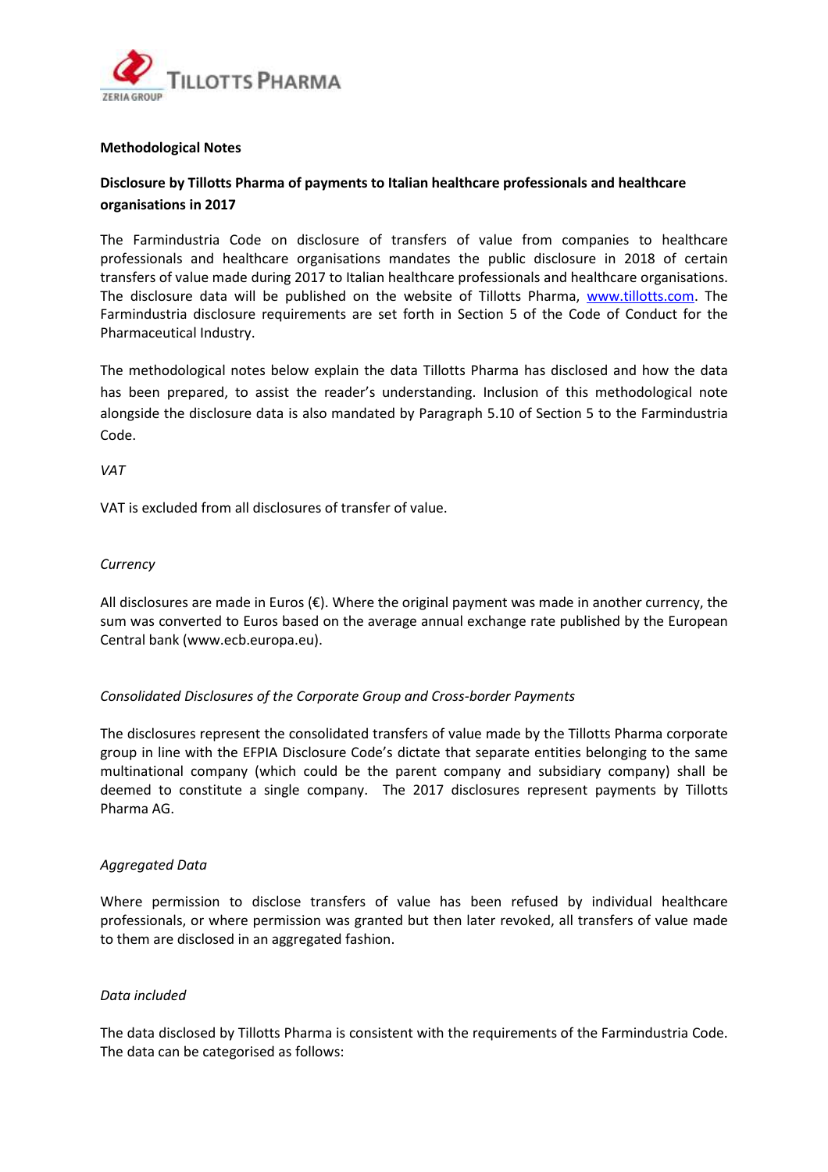

### **Methodological Notes**

# **Disclosure by Tillotts Pharma of payments to Italian healthcare professionals and healthcare organisations in 2017**

The Farmindustria Code on disclosure of transfers of value from companies to healthcare professionals and healthcare organisations mandates the public disclosure in 2018 of certain transfers of value made during 2017 to Italian healthcare professionals and healthcare organisations. The disclosure data will be published on the website of Tillotts Pharma, [www.tillotts.com.](http://www.tillotts.com/) The Farmindustria disclosure requirements are set forth in Section 5 of the Code of Conduct for the Pharmaceutical Industry.

The methodological notes below explain the data Tillotts Pharma has disclosed and how the data has been prepared, to assist the reader's understanding. Inclusion of this methodological note alongside the disclosure data is also mandated by Paragraph 5.10 of Section 5 to the Farmindustria Code.

#### *VAT*

VAT is excluded from all disclosures of transfer of value.

### *Currency*

All disclosures are made in Euros (€). Where the original payment was made in another currency, the sum was converted to Euros based on the average annual exchange rate published by the European Central bank (www.ecb.europa.eu).

### *Consolidated Disclosures of the Corporate Group and Cross-border Payments*

The disclosures represent the consolidated transfers of value made by the Tillotts Pharma corporate group in line with the EFPIA Disclosure Code's dictate that separate entities belonging to the same multinational company (which could be the parent company and subsidiary company) shall be deemed to constitute a single company. The 2017 disclosures represent payments by Tillotts Pharma AG.

### *Aggregated Data*

Where permission to disclose transfers of value has been refused by individual healthcare professionals, or where permission was granted but then later revoked, all transfers of value made to them are disclosed in an aggregated fashion.

### *Data included*

The data disclosed by Tillotts Pharma is consistent with the requirements of the Farmindustria Code. The data can be categorised as follows: